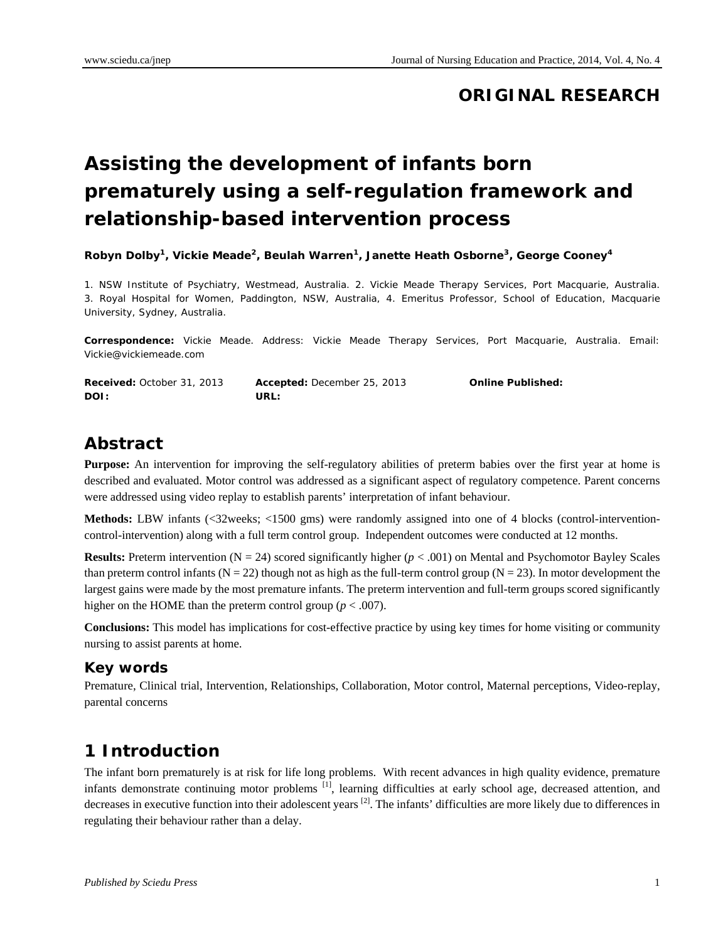## **ORIGINAL RESEARCH**

# **Assisting the development of infants born prematurely using a self-regulation framework and relationship-based intervention process**

Robyn Dolby<sup>1</sup>, Vickie Meade<sup>2</sup>, Beulah Warren<sup>1</sup>, Janette Heath Osborne<sup>3</sup>, George Cooney<sup>4</sup>

1. NSW Institute of Psychiatry, Westmead, Australia. 2. Vickie Meade Therapy Services, Port Macquarie, Australia. 3. Royal Hospital for Women, Paddington, NSW, Australia, 4. Emeritus Professor, School of Education, Macquarie University, Sydney, Australia.

**Correspondence:** Vickie Meade. Address: Vickie Meade Therapy Services, Port Macquarie, Australia. Email: Vickie@vickiemeade.com

| <b>Received:</b> October 31, 2013 | Accepted: December 25, 2013 | <b>Online Published:</b> |
|-----------------------------------|-----------------------------|--------------------------|
| DOI:                              | URL:                        |                          |

## **Abstract**

**Purpose:** An intervention for improving the self-regulatory abilities of preterm babies over the first year at home is described and evaluated. Motor control was addressed as a significant aspect of regulatory competence. Parent concerns were addressed using video replay to establish parents' interpretation of infant behaviour.

**Methods:** LBW infants (<32weeks; <1500 gms) were randomly assigned into one of 4 blocks (control-interventioncontrol-intervention) along with a full term control group. Independent outcomes were conducted at 12 months.

**Results:** Preterm intervention ( $N = 24$ ) scored significantly higher ( $p < .001$ ) on Mental and Psychomotor Bayley Scales than preterm control infants ( $N = 22$ ) though not as high as the full-term control group ( $N = 23$ ). In motor development the largest gains were made by the most premature infants. The preterm intervention and full-term groups scored significantly higher on the HOME than the preterm control group ( $p < .007$ ).

**Conclusions:** This model has implications for cost-effective practice by using key times for home visiting or community nursing to assist parents at home.

#### **Key words**

Premature, Clinical trial, Intervention, Relationships, Collaboration, Motor control, Maternal perceptions, Video-replay, parental concerns

## **1 Introduction**

The infant born prematurely is at risk for life long problems. With recent advances in high quality evidence, premature infants demonstrate continuing motor problems [1], learning difficulties at early school age, decreased attention, and decreases in executive function into their adolescent years <sup>[2]</sup>. The infants' difficulties are more likely due to differences in regulating their behaviour rather than a delay.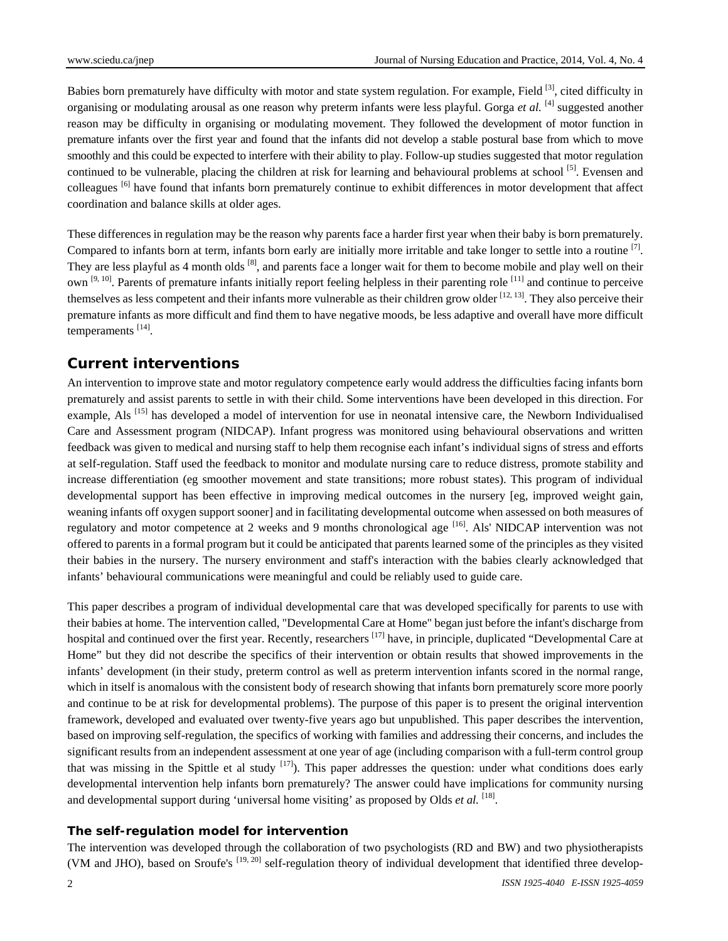Babies born prematurely have difficulty with motor and state system regulation. For example, Field  $[3]$ , cited difficulty in organising or modulating arousal as one reason why preterm infants were less playful. Gorga *et al.* [4] suggested another reason may be difficulty in organising or modulating movement. They followed the development of motor function in premature infants over the first year and found that the infants did not develop a stable postural base from which to move smoothly and this could be expected to interfere with their ability to play. Follow-up studies suggested that motor regulation continued to be vulnerable, placing the children at risk for learning and behavioural problems at school  $[5]$ . Evensen and colleagues  $[6]$  have found that infants born prematurely continue to exhibit differences in motor development that affect coordination and balance skills at older ages.

These differences in regulation may be the reason why parents face a harder first year when their baby is born prematurely. Compared to infants born at term, infants born early are initially more irritable and take longer to settle into a routine  $\binom{7}{1}$ . They are less playful as 4 month olds  $^{[8]}$ , and parents face a longer wait for them to become mobile and play well on their own <sup>[9, 10]</sup>. Parents of premature infants initially report feeling helpless in their parenting role <sup>[11]</sup> and continue to perceive themselves as less competent and their infants more vulnerable as their children grow older  $[12, 13]$ . They also perceive their premature infants as more difficult and find them to have negative moods, be less adaptive and overall have more difficult temperaments [14].

#### **Current interventions**

An intervention to improve state and motor regulatory competence early would address the difficulties facing infants born prematurely and assist parents to settle in with their child. Some interventions have been developed in this direction. For example, Als  $^{[15]}$  has developed a model of intervention for use in neonatal intensive care, the Newborn Individualised Care and Assessment program (NIDCAP). Infant progress was monitored using behavioural observations and written feedback was given to medical and nursing staff to help them recognise each infant's individual signs of stress and efforts at self-regulation. Staff used the feedback to monitor and modulate nursing care to reduce distress, promote stability and increase differentiation (eg smoother movement and state transitions; more robust states). This program of individual developmental support has been effective in improving medical outcomes in the nursery [eg, improved weight gain, weaning infants off oxygen support sooner] and in facilitating developmental outcome when assessed on both measures of regulatory and motor competence at 2 weeks and 9 months chronological age <sup>[16]</sup>. Als' NIDCAP intervention was not offered to parents in a formal program but it could be anticipated that parents learned some of the principles as they visited their babies in the nursery. The nursery environment and staff's interaction with the babies clearly acknowledged that infants' behavioural communications were meaningful and could be reliably used to guide care.

This paper describes a program of individual developmental care that was developed specifically for parents to use with their babies at home. The intervention called, "Developmental Care at Home" began just before the infant's discharge from hospital and continued over the first year. Recently, researchers <sup>[17]</sup> have, in principle, duplicated "Developmental Care at Home" but they did not describe the specifics of their intervention or obtain results that showed improvements in the infants' development (in their study, preterm control as well as preterm intervention infants scored in the normal range, which in itself is anomalous with the consistent body of research showing that infants born prematurely score more poorly and continue to be at risk for developmental problems). The purpose of this paper is to present the original intervention framework, developed and evaluated over twenty-five years ago but unpublished. This paper describes the intervention, based on improving self-regulation, the specifics of working with families and addressing their concerns, and includes the significant results from an independent assessment at one year of age (including comparison with a full-term control group that was missing in the Spittle et al study  $[17]$ ). This paper addresses the question: under what conditions does early developmental intervention help infants born prematurely? The answer could have implications for community nursing and developmental support during 'universal home visiting' as proposed by Olds *et al.* [<sup>18]</sup>.

#### **The self-regulation model for intervention**

The intervention was developed through the collaboration of two psychologists (RD and BW) and two physiotherapists (VM and JHO), based on Sroufe's  $^{[19, 20]}$  self-regulation theory of individual development that identified three develop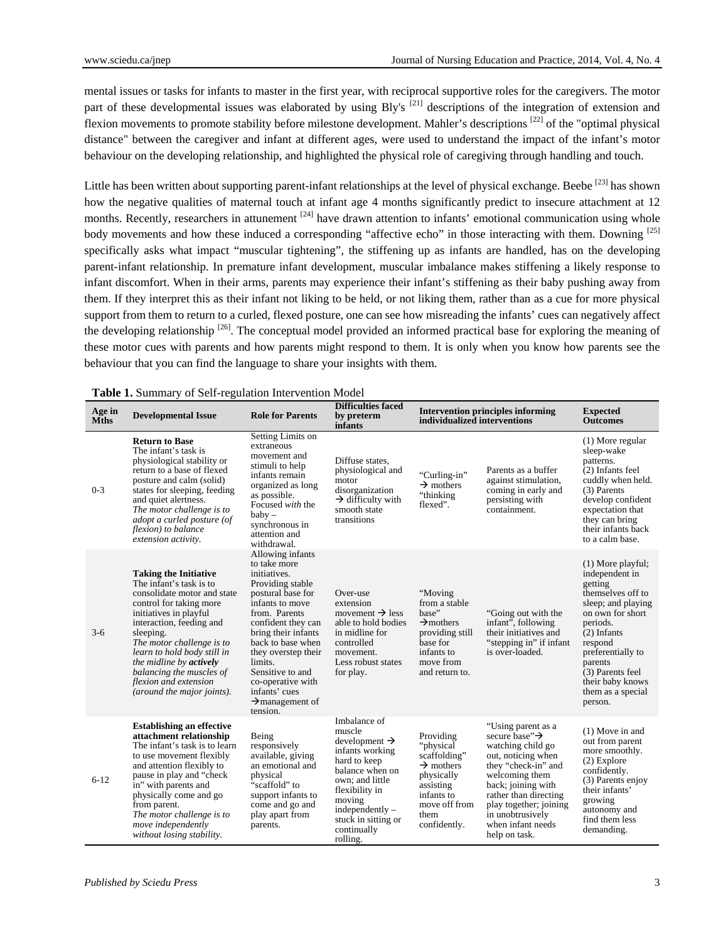mental issues or tasks for infants to master in the first year, with reciprocal supportive roles for the caregivers. The motor part of these developmental issues was elaborated by using Bly's <sup>[21]</sup> descriptions of the integration of extension and flexion movements to promote stability before milestone development. Mahler's descriptions [22] of the "optimal physical distance" between the caregiver and infant at different ages, were used to understand the impact of the infant's motor behaviour on the developing relationship, and highlighted the physical role of caregiving through handling and touch.

Little has been written about supporting parent-infant relationships at the level of physical exchange. Beebe  $[23]$  has shown how the negative qualities of maternal touch at infant age 4 months significantly predict to insecure attachment at 12 months. Recently, researchers in attunement  $^{[24]}$  have drawn attention to infants' emotional communication using whole body movements and how these induced a corresponding "affective echo" in those interacting with them. Downing [25] specifically asks what impact "muscular tightening", the stiffening up as infants are handled, has on the developing parent-infant relationship. In premature infant development, muscular imbalance makes stiffening a likely response to infant discomfort. When in their arms, parents may experience their infant's stiffening as their baby pushing away from them. If they interpret this as their infant not liking to be held, or not liking them, rather than as a cue for more physical support from them to return to a curled, flexed posture, one can see how misreading the infants' cues can negatively affect the developing relationship  $^{[26]}$ . The conceptual model provided an informed practical base for exploring the meaning of these motor cues with parents and how parents might respond to them. It is only when you know how parents see the behaviour that you can find the language to share your insights with them.

| Table 1. Summary of Self-regulation Intervention Model |  |  |  |
|--------------------------------------------------------|--|--|--|
|--------------------------------------------------------|--|--|--|

| Age in<br><b>Mths</b> | <b>Developmental Issue</b>                                                                                                                                                                                                                                                                                                                                     | <b>Role for Parents</b>                                                                                                                                                                                                                                                                                                                | <b>Difficulties faced</b><br>by preterm<br>infants                                                                                                                                                                              | individualized interventions                                                                                                                      | <b>Intervention principles informing</b>                                                                                                                                                                                                                                | <b>Expected</b><br><b>Outcomes</b>                                                                                                                                                                                                                              |
|-----------------------|----------------------------------------------------------------------------------------------------------------------------------------------------------------------------------------------------------------------------------------------------------------------------------------------------------------------------------------------------------------|----------------------------------------------------------------------------------------------------------------------------------------------------------------------------------------------------------------------------------------------------------------------------------------------------------------------------------------|---------------------------------------------------------------------------------------------------------------------------------------------------------------------------------------------------------------------------------|---------------------------------------------------------------------------------------------------------------------------------------------------|-------------------------------------------------------------------------------------------------------------------------------------------------------------------------------------------------------------------------------------------------------------------------|-----------------------------------------------------------------------------------------------------------------------------------------------------------------------------------------------------------------------------------------------------------------|
| $0 - 3$               | <b>Return to Base</b><br>The infant's task is<br>physiological stability or<br>return to a base of flexed<br>posture and calm (solid)<br>states for sleeping, feeding<br>and quiet alertness.<br>The motor challenge is to<br>adopt a curled posture (of<br>flexion) to balance<br>extension activity.                                                         | Setting Limits on<br>extraneous<br>movement and<br>stimuli to help<br>infants remain<br>organized as long<br>as possible.<br>Focused with the<br>$b$ aby $-$<br>synchronous in<br>attention and<br>withdrawal.                                                                                                                         | Diffuse states,<br>physiological and<br>motor<br>disorganization<br>$\rightarrow$ difficulty with<br>smooth state<br>transitions                                                                                                | "Curling-in"<br>$\rightarrow$ mothers<br>"thinking<br>flexed".                                                                                    | Parents as a buffer<br>against stimulation,<br>coming in early and<br>persisting with<br>containment.                                                                                                                                                                   | $(1)$ More regular<br>sleep-wake<br>patterns.<br>(2) Infants feel<br>cuddly when held.<br>(3) Parents<br>develop confident<br>expectation that<br>they can bring<br>their infants back<br>to a calm base.                                                       |
| $3-6$                 | <b>Taking the Initiative</b><br>The infant's task is to<br>consolidate motor and state<br>control for taking more<br>initiatives in playful<br>interaction, feeding and<br>sleeping.<br>The motor challenge is to<br>learn to hold body still in<br>the midline by actively<br>balancing the muscles of<br>flexion and extension<br>(around the major joints). | Allowing infants<br>to take more<br>initiatives.<br>Providing stable<br>postural base for<br>infants to move<br>from. Parents<br>confident they can<br>bring their infants<br>back to base when<br>they overstep their<br>limits.<br>Sensitive to and<br>co-operative with<br>infants' cues<br>$\rightarrow$ management of<br>tension. | Over-use<br>extension<br>movement $\rightarrow$ less<br>able to hold bodies<br>in midline for<br>controlled<br>movement.<br>Less robust states<br>for play.                                                                     | "Moving<br>from a stable<br>base"<br>$\rightarrow$ mothers<br>providing still<br>base for<br>infants to<br>move from<br>and return to.            | "Going out with the<br>infant", following<br>their initiatives and<br>"stepping in" if infant<br>is over-loaded.                                                                                                                                                        | $(1)$ More playful;<br>independent in<br>getting<br>themselves off to<br>sleep; and playing<br>on own for short<br>periods.<br>$(2)$ Infants<br>respond<br>preferentially to<br>parents<br>(3) Parents feel<br>their baby knows<br>them as a special<br>person. |
| $6 - 12$              | <b>Establishing an effective</b><br>attachment relationship<br>The infant's task is to learn<br>to use movement flexibly<br>and attention flexibly to<br>pause in play and "check"<br>in" with parents and<br>physically come and go<br>from parent.<br>The motor challenge is to<br>move independently<br>without losing stability.                           | Being<br>responsively<br>available, giving<br>an emotional and<br>physical<br>"scaffold" to<br>support infants to<br>come and go and<br>play apart from<br>parents.                                                                                                                                                                    | Imbalance of<br>muscle<br>development $\rightarrow$<br>infants working<br>hard to keep<br>balance when on<br>own; and little<br>flexibility in<br>moving<br>independently $-$<br>stuck in sitting or<br>continually<br>rolling. | Providing<br>"physical<br>scaffolding"<br>$\rightarrow$ mothers<br>physically<br>assisting<br>infants to<br>move off from<br>them<br>confidently. | "Using parent as a<br>secure base" $\rightarrow$<br>watching child go<br>out, noticing when<br>they "check-in" and<br>welcoming them<br>back; joining with<br>rather than directing<br>play together; joining<br>in unobtrusively<br>when infant needs<br>help on task. | $(1)$ Move in and<br>out from parent<br>more smoothly.<br>$(2)$ Explore<br>confidently.<br>(3) Parents enjoy<br>their infants'<br>growing<br>autonomy and<br>find them less<br>demanding.                                                                       |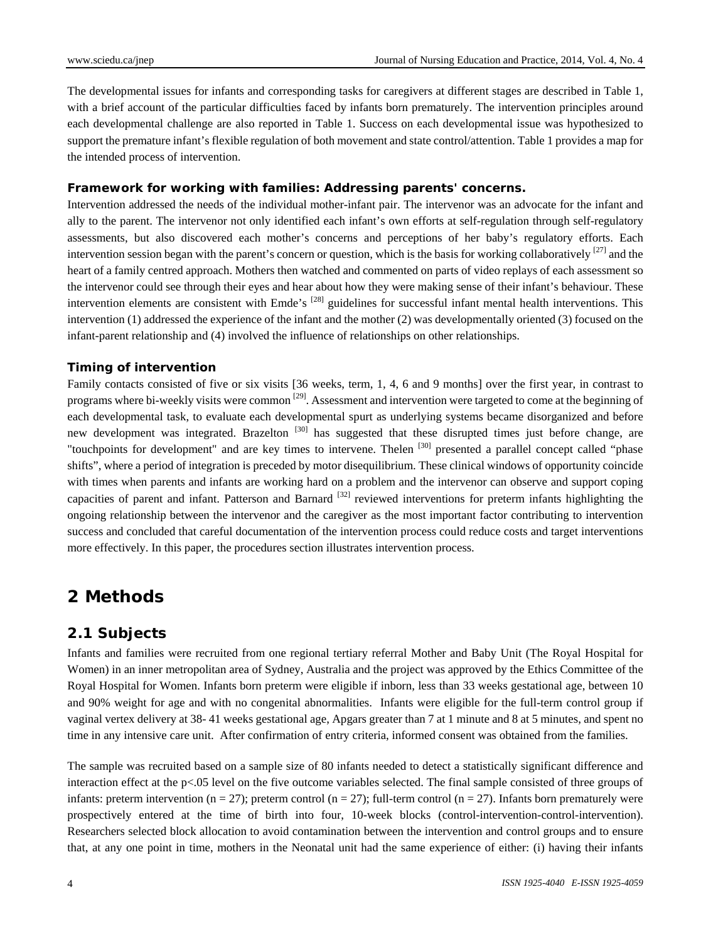The developmental issues for infants and corresponding tasks for caregivers at different stages are described in Table 1, with a brief account of the particular difficulties faced by infants born prematurely. The intervention principles around each developmental challenge are also reported in Table 1. Success on each developmental issue was hypothesized to support the premature infant's flexible regulation of both movement and state control/attention. Table 1 provides a map for the intended process of intervention.

#### **Framework for working with families: Addressing parents' concerns.**

Intervention addressed the needs of the individual mother-infant pair. The intervenor was an advocate for the infant and ally to the parent. The intervenor not only identified each infant's own efforts at self-regulation through self-regulatory assessments, but also discovered each mother's concerns and perceptions of her baby's regulatory efforts. Each intervention session began with the parent's concern or question, which is the basis for working collaboratively [27] and the heart of a family centred approach. Mothers then watched and commented on parts of video replays of each assessment so the intervenor could see through their eyes and hear about how they were making sense of their infant's behaviour. These intervention elements are consistent with Emde's  $^{[28]}$  guidelines for successful infant mental health interventions. This intervention (1) addressed the experience of the infant and the mother (2) was developmentally oriented (3) focused on the infant-parent relationship and (4) involved the influence of relationships on other relationships.

#### **Timing of intervention**

Family contacts consisted of five or six visits [36 weeks, term, 1, 4, 6 and 9 months] over the first year, in contrast to programs where bi-weekly visits were common <sup>[29]</sup>. Assessment and intervention were targeted to come at the beginning of each developmental task, to evaluate each developmental spurt as underlying systems became disorganized and before new development was integrated. Brazelton <sup>[30]</sup> has suggested that these disrupted times just before change, are "touchpoints for development" and are key times to intervene. Thelen <sup>[30]</sup> presented a parallel concept called "phase shifts", where a period of integration is preceded by motor disequilibrium. These clinical windows of opportunity coincide with times when parents and infants are working hard on a problem and the intervenor can observe and support coping capacities of parent and infant. Patterson and Barnard  $^{[32]}$  reviewed interventions for preterm infants highlighting the ongoing relationship between the intervenor and the caregiver as the most important factor contributing to intervention success and concluded that careful documentation of the intervention process could reduce costs and target interventions more effectively. In this paper, the procedures section illustrates intervention process.

## **2 Methods**

### **2.1 Subjects**

Infants and families were recruited from one regional tertiary referral Mother and Baby Unit (The Royal Hospital for Women) in an inner metropolitan area of Sydney, Australia and the project was approved by the Ethics Committee of the Royal Hospital for Women. Infants born preterm were eligible if inborn, less than 33 weeks gestational age, between 10 and 90% weight for age and with no congenital abnormalities. Infants were eligible for the full-term control group if vaginal vertex delivery at 38- 41 weeks gestational age, Apgars greater than 7 at 1 minute and 8 at 5 minutes, and spent no time in any intensive care unit. After confirmation of entry criteria, informed consent was obtained from the families.

The sample was recruited based on a sample size of 80 infants needed to detect a statistically significant difference and interaction effect at the p<.05 level on the five outcome variables selected. The final sample consisted of three groups of infants: preterm intervention (n = 27); preterm control (n = 27); full-term control (n = 27). Infants born prematurely were prospectively entered at the time of birth into four, 10-week blocks (control-intervention-control-intervention). Researchers selected block allocation to avoid contamination between the intervention and control groups and to ensure that, at any one point in time, mothers in the Neonatal unit had the same experience of either: (i) having their infants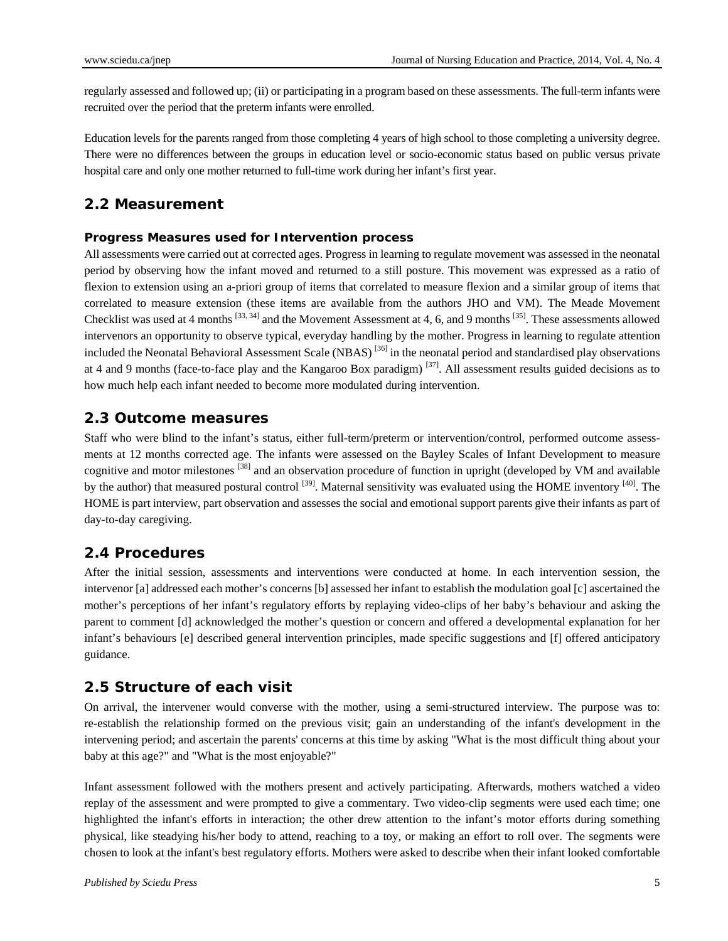regularly assessed and followed up; (ii) or participating in a program based on these assessments. The full-term infants were recruited over the period that the preterm infants were enrolled.

Education levels for the parents ranged from those completing 4 years of high school to those completing a university degree. There were no differences between the groups in education level or socio-economic status based on public versus private hospital care and only one mother returned to full-time work during her infant's first year.

#### **2.2 Measurement**

#### **Progress Measures used for Intervention process**

All assessments were carried out at corrected ages. Progress in learning to regulate movement was assessed in the neonatal period by observing how the infant moved and returned to a still posture. This movement was expressed as a ratio of flexion to extension using an a-priori group of items that correlated to measure flexion and a similar group of items that correlated to measure extension (these items are available from the authors JHO and VM). The Meade Movement Checklist was used at 4 months  $[33, 34]$  and the Movement Assessment at 4, 6, and 9 months  $[35]$ . These assessments allowed intervenors an opportunity to observe typical, everyday handling by the mother. Progress in learning to regulate attention included the Neonatal Behavioral Assessment Scale (NBAS)<sup>[36]</sup> in the neonatal period and standardised play observations at 4 and 9 months (face-to-face play and the Kangaroo Box paradigm)  $^{[37]}$ . All assessment results guided decisions as to how much help each infant needed to become more modulated during intervention.

#### **2.3 Outcome measures**

Staff who were blind to the infant's status, either full-term/preterm or intervention/control, performed outcome assessments at 12 months corrected age. The infants were assessed on the Bayley Scales of Infant Development to measure cognitive and motor milestones [38] and an observation procedure of function in upright (developed by VM and available by the author) that measured postural control <sup>[39]</sup>. Maternal sensitivity was evaluated using the HOME inventory <sup>[40]</sup>. The HOME is part interview, part observation and assesses the social and emotional support parents give their infants as part of day-to-day caregiving.

#### **2.4 Procedures**

After the initial session, assessments and interventions were conducted at home. In each intervention session, the intervenor [a] addressed each mother's concerns [b] assessed her infant to establish the modulation goal [c] ascertained the mother's perceptions of her infant's regulatory efforts by replaying video-clips of her baby's behaviour and asking the parent to comment [d] acknowledged the mother's question or concern and offered a developmental explanation for her infant's behaviours [e] described general intervention principles, made specific suggestions and [f] offered anticipatory guidance.

#### **2.5 Structure of each visit**

On arrival, the intervener would converse with the mother, using a semi-structured interview. The purpose was to: re-establish the relationship formed on the previous visit; gain an understanding of the infant's development in the intervening period; and ascertain the parents' concerns at this time by asking "What is the most difficult thing about your baby at this age?" and "What is the most enjoyable?"

Infant assessment followed with the mothers present and actively participating. Afterwards, mothers watched a video replay of the assessment and were prompted to give a commentary. Two video-clip segments were used each time; one highlighted the infant's efforts in interaction; the other drew attention to the infant's motor efforts during something physical, like steadying his/her body to attend, reaching to a toy, or making an effort to roll over. The segments were chosen to look at the infant's best regulatory efforts. Mothers were asked to describe when their infant looked comfortable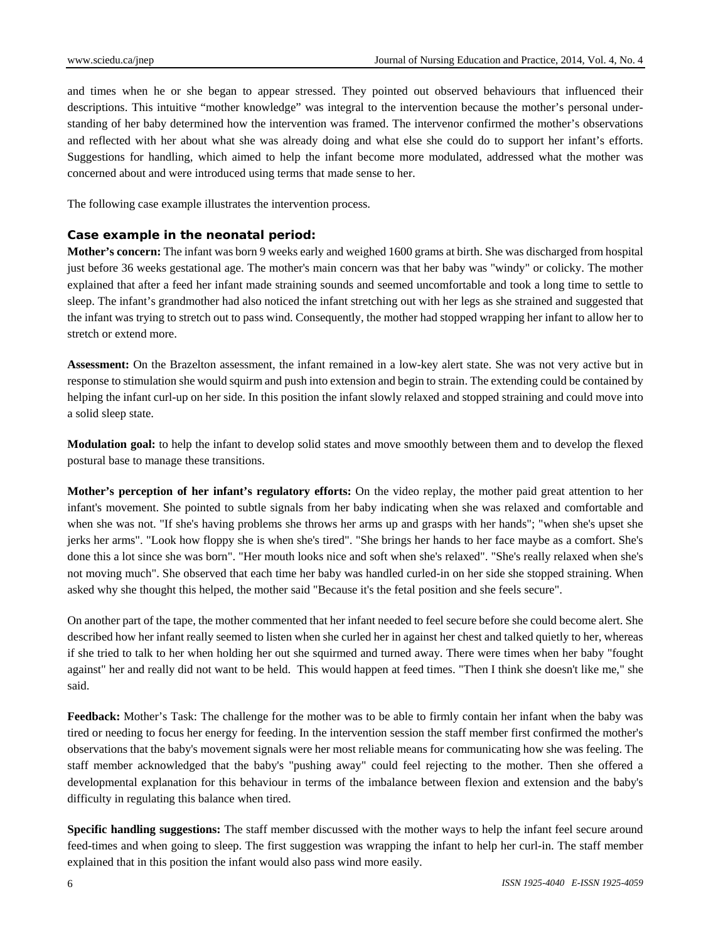and times when he or she began to appear stressed. They pointed out observed behaviours that influenced their descriptions. This intuitive "mother knowledge" was integral to the intervention because the mother's personal understanding of her baby determined how the intervention was framed. The intervenor confirmed the mother's observations and reflected with her about what she was already doing and what else she could do to support her infant's efforts. Suggestions for handling, which aimed to help the infant become more modulated, addressed what the mother was concerned about and were introduced using terms that made sense to her.

The following case example illustrates the intervention process.

#### **Case example in the neonatal period:**

**Mother's concern:** The infant was born 9 weeks early and weighed 1600 grams at birth. She was discharged from hospital just before 36 weeks gestational age. The mother's main concern was that her baby was "windy" or colicky. The mother explained that after a feed her infant made straining sounds and seemed uncomfortable and took a long time to settle to sleep. The infant's grandmother had also noticed the infant stretching out with her legs as she strained and suggested that the infant was trying to stretch out to pass wind. Consequently, the mother had stopped wrapping her infant to allow her to stretch or extend more.

**Assessment:** On the Brazelton assessment, the infant remained in a low-key alert state. She was not very active but in response to stimulation she would squirm and push into extension and begin to strain. The extending could be contained by helping the infant curl-up on her side. In this position the infant slowly relaxed and stopped straining and could move into a solid sleep state.

**Modulation goal:** to help the infant to develop solid states and move smoothly between them and to develop the flexed postural base to manage these transitions.

**Mother's perception of her infant's regulatory efforts:** On the video replay, the mother paid great attention to her infant's movement. She pointed to subtle signals from her baby indicating when she was relaxed and comfortable and when she was not. "If she's having problems she throws her arms up and grasps with her hands"; "when she's upset she jerks her arms". "Look how floppy she is when she's tired". "She brings her hands to her face maybe as a comfort. She's done this a lot since she was born". "Her mouth looks nice and soft when she's relaxed". "She's really relaxed when she's not moving much". She observed that each time her baby was handled curled-in on her side she stopped straining. When asked why she thought this helped, the mother said "Because it's the fetal position and she feels secure".

On another part of the tape, the mother commented that her infant needed to feel secure before she could become alert. She described how her infant really seemed to listen when she curled her in against her chest and talked quietly to her, whereas if she tried to talk to her when holding her out she squirmed and turned away. There were times when her baby "fought against" her and really did not want to be held. This would happen at feed times. "Then I think she doesn't like me," she said.

**Feedback:** Mother's Task: The challenge for the mother was to be able to firmly contain her infant when the baby was tired or needing to focus her energy for feeding. In the intervention session the staff member first confirmed the mother's observations that the baby's movement signals were her most reliable means for communicating how she was feeling. The staff member acknowledged that the baby's "pushing away" could feel rejecting to the mother. Then she offered a developmental explanation for this behaviour in terms of the imbalance between flexion and extension and the baby's difficulty in regulating this balance when tired.

**Specific handling suggestions:** The staff member discussed with the mother ways to help the infant feel secure around feed-times and when going to sleep. The first suggestion was wrapping the infant to help her curl-in. The staff member explained that in this position the infant would also pass wind more easily.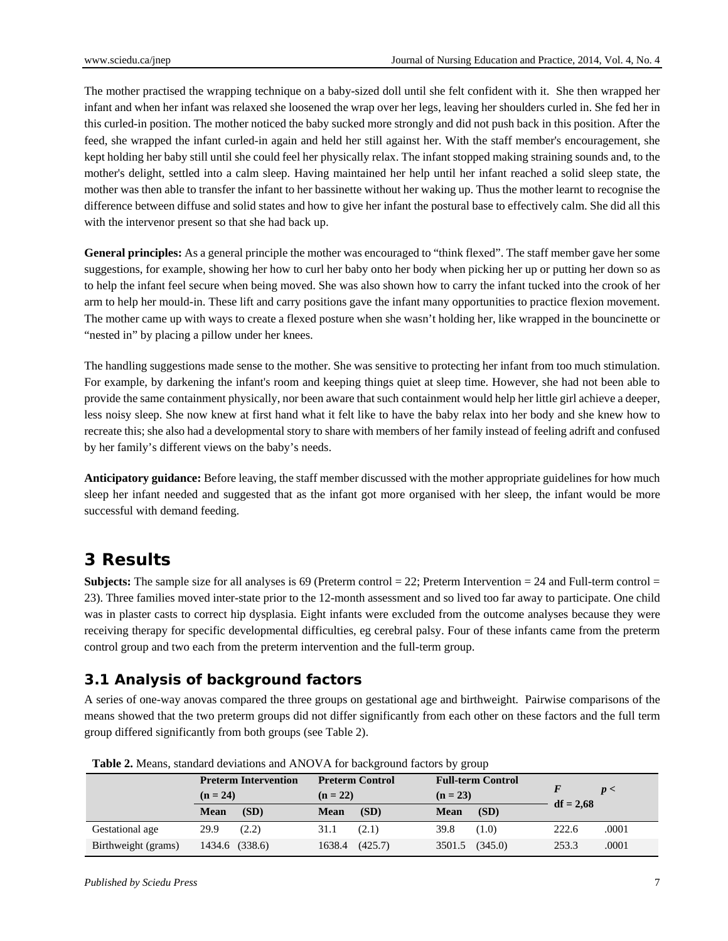The mother practised the wrapping technique on a baby-sized doll until she felt confident with it. She then wrapped her infant and when her infant was relaxed she loosened the wrap over her legs, leaving her shoulders curled in. She fed her in this curled-in position. The mother noticed the baby sucked more strongly and did not push back in this position. After the feed, she wrapped the infant curled-in again and held her still against her. With the staff member's encouragement, she kept holding her baby still until she could feel her physically relax. The infant stopped making straining sounds and, to the mother's delight, settled into a calm sleep. Having maintained her help until her infant reached a solid sleep state, the mother was then able to transfer the infant to her bassinette without her waking up. Thus the mother learnt to recognise the difference between diffuse and solid states and how to give her infant the postural base to effectively calm. She did all this with the intervenor present so that she had back up.

**General principles:** As a general principle the mother was encouraged to "think flexed". The staff member gave her some suggestions, for example, showing her how to curl her baby onto her body when picking her up or putting her down so as to help the infant feel secure when being moved. She was also shown how to carry the infant tucked into the crook of her arm to help her mould-in. These lift and carry positions gave the infant many opportunities to practice flexion movement. The mother came up with ways to create a flexed posture when she wasn't holding her, like wrapped in the bouncinette or "nested in" by placing a pillow under her knees.

The handling suggestions made sense to the mother. She was sensitive to protecting her infant from too much stimulation. For example, by darkening the infant's room and keeping things quiet at sleep time. However, she had not been able to provide the same containment physically, nor been aware that such containment would help her little girl achieve a deeper, less noisy sleep. She now knew at first hand what it felt like to have the baby relax into her body and she knew how to recreate this; she also had a developmental story to share with members of her family instead of feeling adrift and confused by her family's different views on the baby's needs.

**Anticipatory guidance:** Before leaving, the staff member discussed with the mother appropriate guidelines for how much sleep her infant needed and suggested that as the infant got more organised with her sleep, the infant would be more successful with demand feeding.

## **3 Results**

**Subjects:** The sample size for all analyses is 69 (Preterm control = 22; Preterm Intervention = 24 and Full-term control = 23). Three families moved inter-state prior to the 12-month assessment and so lived too far away to participate. One child was in plaster casts to correct hip dysplasia. Eight infants were excluded from the outcome analyses because they were receiving therapy for specific developmental difficulties, eg cerebral palsy. Four of these infants came from the preterm control group and two each from the preterm intervention and the full-term group.

### **3.1 Analysis of background factors**

A series of one-way anovas compared the three groups on gestational age and birthweight. Pairwise comparisons of the means showed that the two preterm groups did not differ significantly from each other on these factors and the full term group differed significantly from both groups (see Table 2).

| <b>Preterm Intervention</b><br>$(n = 24)$ |             |                | <b>Preterm Control</b><br>$(n = 22)$ |         | $(n = 23)$  | <b>Full-term Control</b> |             | p<    |
|-------------------------------------------|-------------|----------------|--------------------------------------|---------|-------------|--------------------------|-------------|-------|
|                                           | <b>Mean</b> | (SD)           | Mean                                 | (SD)    | <b>Mean</b> | (SD)                     | $df = 2,68$ |       |
| Gestational age                           | 29.9        | (2.2)          | 31.1                                 | (2.1)   | 39.8        | (1.0)                    | 222.6       | .0001 |
| Birthweight (grams)                       |             | 1434.6 (338.6) | 1638.4                               | (425.7) |             | 3501.5 (345.0)           | 253.3       | .0001 |

**Table 2.** Means, standard deviations and ANOVA for background factors by group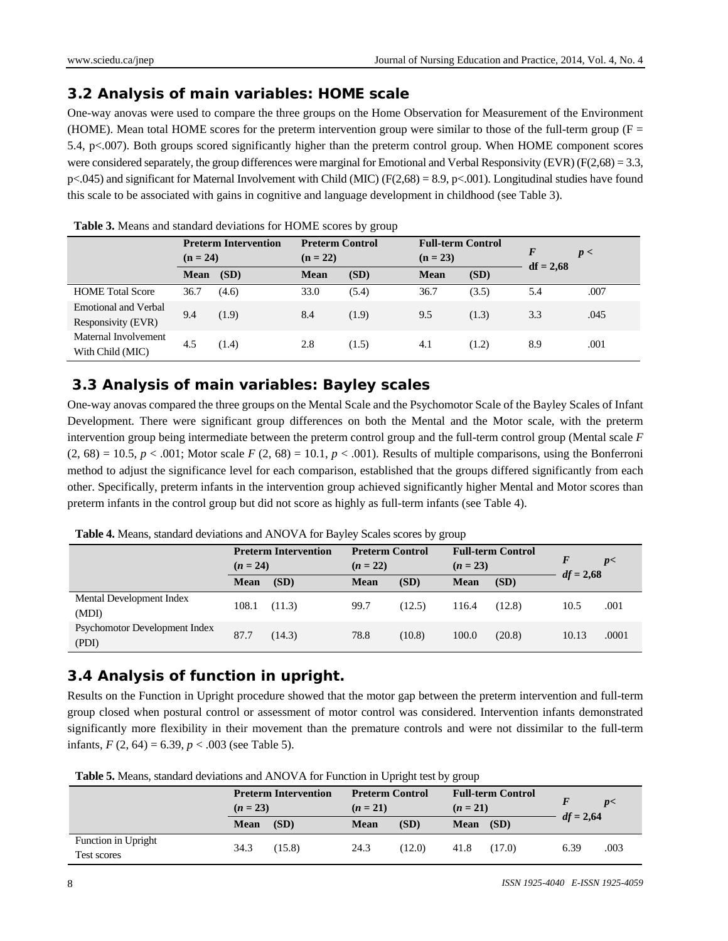### **3.2 Analysis of main variables: HOME scale**

One-way anovas were used to compare the three groups on the Home Observation for Measurement of the Environment (HOME). Mean total HOME scores for the preterm intervention group were similar to those of the full-term group ( $F =$ 5.4, p<.007). Both groups scored significantly higher than the preterm control group. When HOME component scores were considered separately, the group differences were marginal for Emotional and Verbal Responsivity (EVR) (F(2,68) = 3.3,  $p\leq 0.045$ ) and significant for Maternal Involvement with Child (MIC) (F(2,68) = 8.9, p $\leq 0.001$ ). Longitudinal studies have found this scale to be associated with gains in cognitive and language development in childhood (see Table 3).

|                                                   | <b>Preterm Intervention</b> |       | <b>Preterm Control</b> |       | <b>Full-term Control</b> |       |                  |      |  |
|---------------------------------------------------|-----------------------------|-------|------------------------|-------|--------------------------|-------|------------------|------|--|
|                                                   | $(n = 24)$                  |       | $(n = 22)$             |       | $(n = 23)$               |       | $\boldsymbol{F}$ | p<   |  |
|                                                   | <b>Mean</b>                 | (SD)  | <b>Mean</b>            | (SD)  | <b>Mean</b>              | (SD)  | $df = 2,68$      |      |  |
| <b>HOME</b> Total Score                           | 36.7                        | (4.6) | 33.0                   | (5.4) | 36.7                     | (3.5) | 5.4              | .007 |  |
| <b>Emotional and Verbal</b><br>Responsivity (EVR) | 9.4                         | (1.9) | 8.4                    | (1.9) | 9.5                      | (1.3) | 3.3              | .045 |  |
| Maternal Involvement<br>With Child (MIC)          | 4.5                         | (1.4) | 2.8                    | (1.5) | 4.1                      | (1.2) | 8.9              | .001 |  |

**Table 3.** Means and standard deviations for HOME scores by group

### **3.3 Analysis of main variables: Bayley scales**

One-way anovas compared the three groups on the Mental Scale and the Psychomotor Scale of the Bayley Scales of Infant Development. There were significant group differences on both the Mental and the Motor scale, with the preterm intervention group being intermediate between the preterm control group and the full-term control group (Mental scale *F*   $(2, 68) = 10.5, p < .001$ ; Motor scale  $F(2, 68) = 10.1, p < .001$ . Results of multiple comparisons, using the Bonferroni method to adjust the significance level for each comparison, established that the groups differed significantly from each other. Specifically, preterm infants in the intervention group achieved significantly higher Mental and Motor scores than preterm infants in the control group but did not score as highly as full-term infants (see Table 4).

|                                               | $(n = 24)$  | <b>Preterm Intervention</b> | <b>Preterm Control</b><br>$(n = 22)$ |        | <b>Full-term Control</b><br>$(n = 23)$ |        | F<br>$df = 2,68$ | p<    |  |
|-----------------------------------------------|-------------|-----------------------------|--------------------------------------|--------|----------------------------------------|--------|------------------|-------|--|
|                                               | <b>Mean</b> | (SD)                        | <b>Mean</b>                          | (SD)   | (SD)<br><b>Mean</b>                    |        |                  |       |  |
| Mental Development Index<br>(MDI)             | 108.1       | (11.3)                      | 99.7                                 | (12.5) | 116.4                                  | (12.8) | 10.5             | .001  |  |
| <b>Psychomotor Development Index</b><br>(PDI) | 87.7        | (14.3)                      | 78.8                                 | (10.8) | 100.0                                  | (20.8) | 10.13            | .0001 |  |

**Table 4.** Means, standard deviations and ANOVA for Bayley Scales scores by group

### **3.4 Analysis of function in upright.**

Results on the Function in Upright procedure showed that the motor gap between the preterm intervention and full-term group closed when postural control or assessment of motor control was considered. Intervention infants demonstrated significantly more flexibility in their movement than the premature controls and were not dissimilar to the full-term infants,  $F(2, 64) = 6.39, p < .003$  (see Table 5).

**Table 5.** Means, standard deviations and ANOVA for Function in Upright test by group

|                                    | $(n = 23)$  | <b>Preterm Intervention</b> | <b>Preterm Control</b><br>$(n = 21)$ |        | <b>Full-term Control</b><br>$(n = 21)$ |        |             | p<   |
|------------------------------------|-------------|-----------------------------|--------------------------------------|--------|----------------------------------------|--------|-------------|------|
|                                    | <b>Mean</b> | (SD)                        | <b>Mean</b>                          | (SD)   | (SD)<br><b>Mean</b>                    |        | $df = 2,64$ |      |
| Function in Upright<br>Test scores | 34.3        | (15.8)                      | 24.3                                 | (12.0) | 41.8                                   | (17.0) | 6.39        | .003 |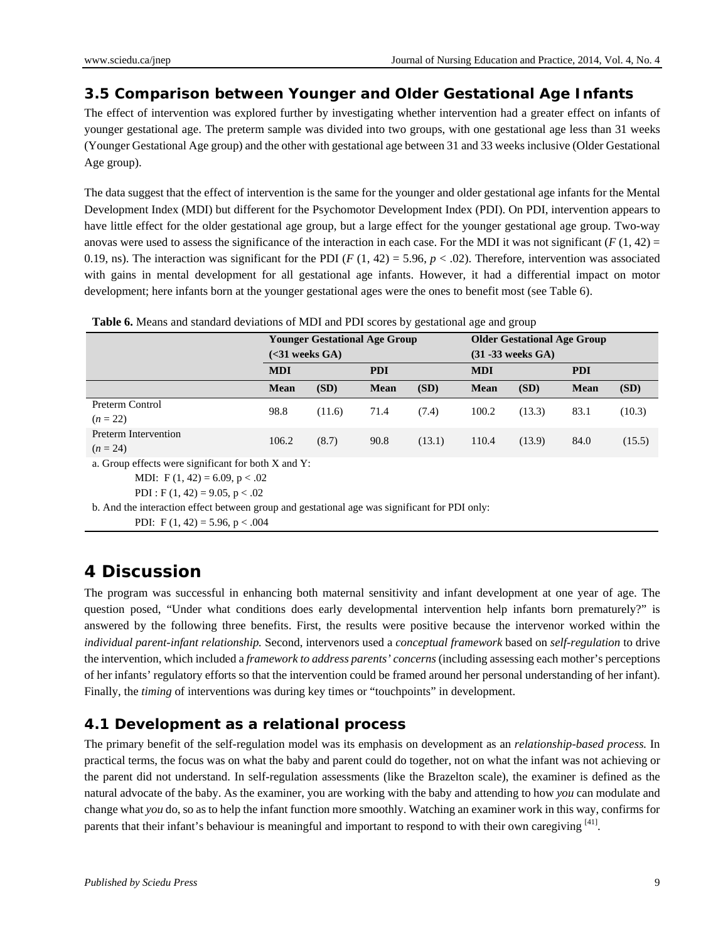### **3.5 Comparison between Younger and Older Gestational Age Infants**

The effect of intervention was explored further by investigating whether intervention had a greater effect on infants of younger gestational age. The preterm sample was divided into two groups, with one gestational age less than 31 weeks (Younger Gestational Age group) and the other with gestational age between 31 and 33 weeks inclusive (Older Gestational Age group).

The data suggest that the effect of intervention is the same for the younger and older gestational age infants for the Mental Development Index (MDI) but different for the Psychomotor Development Index (PDI). On PDI, intervention appears to have little effect for the older gestational age group, but a large effect for the younger gestational age group. Two-way anovas were used to assess the significance of the interaction in each case. For the MDI it was not significant  $(F(1, 42) =$ 0.19, ns). The interaction was significant for the PDI ( $F(1, 42) = 5.96$ ,  $p < .02$ ). Therefore, intervention was associated with gains in mental development for all gestational age infants. However, it had a differential impact on motor development; here infants born at the younger gestational ages were the ones to benefit most (see Table 6).

| Table 6. Means and standard deviations of MDI and PDI scores by gestational age and group |  |  |  |  |  |
|-------------------------------------------------------------------------------------------|--|--|--|--|--|
|                                                                                           |  |  |  |  |  |

|                                    | ( <b>31</b> weeks GA) | <b>Younger Gestational Age Group</b> |             |        | <b>Older Gestational Age Group</b><br>$(31 - 33$ weeks $GA)$ |        |             |        |  |
|------------------------------------|-----------------------|--------------------------------------|-------------|--------|--------------------------------------------------------------|--------|-------------|--------|--|
|                                    | <b>MDI</b>            |                                      | <b>PDI</b>  |        | <b>MDI</b>                                                   |        | <b>PDI</b>  |        |  |
|                                    | <b>Mean</b>           | (SD)                                 | <b>Mean</b> | (SD)   | <b>Mean</b>                                                  | (SD)   | <b>Mean</b> | (SD)   |  |
| Preterm Control<br>$(n = 22)$      | 98.8                  | (11.6)                               | 71.4        | (7.4)  | 100.2                                                        | (13.3) | 83.1        | (10.3) |  |
| Preterm Intervention<br>$(n = 24)$ | 106.2                 | (8.7)                                | 90.8        | (13.1) | 110.4                                                        | (13.9) | 84.0        | (15.5) |  |

a. Group effects were significant for both X and Y:

MDI: F  $(1, 42) = 6.09$ , p < .02

PDI : F  $(1, 42) = 9.05$ , p < .02

b. And the interaction effect between group and gestational age was significant for PDI only:

PDI: F  $(1, 42) = 5.96$ , p < .004

## **4 Discussion**

The program was successful in enhancing both maternal sensitivity and infant development at one year of age. The question posed, "Under what conditions does early developmental intervention help infants born prematurely?" is answered by the following three benefits. First, the results were positive because the intervenor worked within the *individual parent-infant relationship.* Second, intervenors used a *conceptual framework* based on *self-regulation* to drive the intervention, which included a *framework to address parents' concerns* (including assessing each mother's perceptions of her infants' regulatory efforts so that the intervention could be framed around her personal understanding of her infant). Finally, the *timing* of interventions was during key times or "touchpoints" in development.

### **4.1 Development as a relational process**

The primary benefit of the self-regulation model was its emphasis on development as an *relationship-based process.* In practical terms, the focus was on what the baby and parent could do together, not on what the infant was not achieving or the parent did not understand. In self-regulation assessments (like the Brazelton scale), the examiner is defined as the natural advocate of the baby. As the examiner, you are working with the baby and attending to how *you* can modulate and change what *you* do, so as to help the infant function more smoothly. Watching an examiner work in this way, confirms for parents that their infant's behaviour is meaningful and important to respond to with their own caregiving  $[41]$ .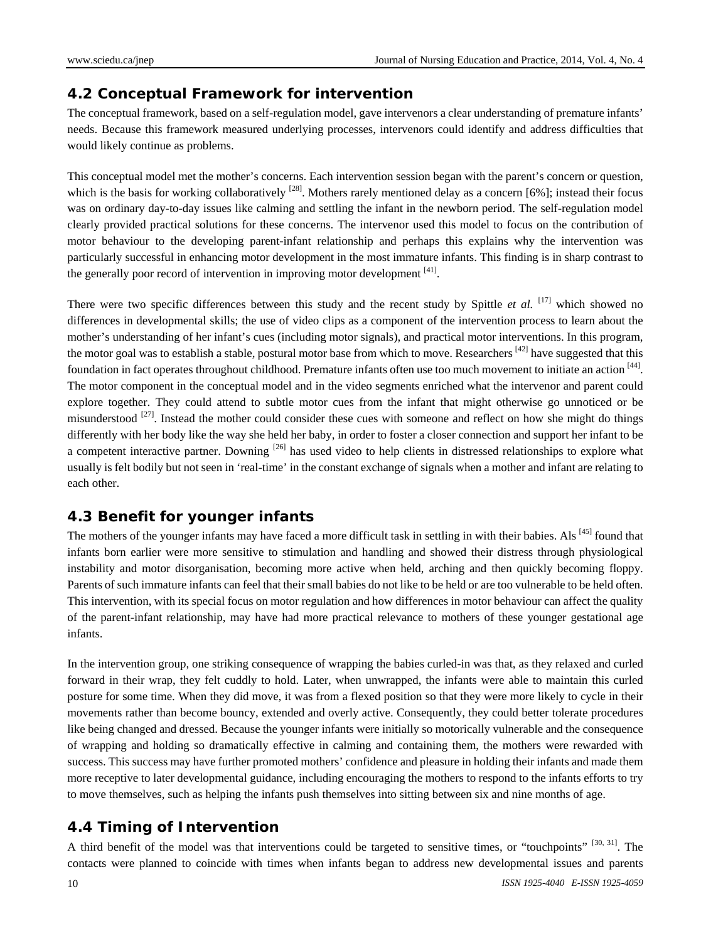#### **4.2 Conceptual Framework for intervention**

The conceptual framework, based on a self-regulation model, gave intervenors a clear understanding of premature infants' needs. Because this framework measured underlying processes, intervenors could identify and address difficulties that would likely continue as problems.

This conceptual model met the mother's concerns. Each intervention session began with the parent's concern or question, which is the basis for working collaboratively  $^{[28]}$ . Mothers rarely mentioned delay as a concern [6%]; instead their focus was on ordinary day-to-day issues like calming and settling the infant in the newborn period. The self-regulation model clearly provided practical solutions for these concerns. The intervenor used this model to focus on the contribution of motor behaviour to the developing parent-infant relationship and perhaps this explains why the intervention was particularly successful in enhancing motor development in the most immature infants. This finding is in sharp contrast to the generally poor record of intervention in improving motor development [41].

There were two specific differences between this study and the recent study by Spittle *et al.* [17] which showed no differences in developmental skills; the use of video clips as a component of the intervention process to learn about the mother's understanding of her infant's cues (including motor signals), and practical motor interventions. In this program, the motor goal was to establish a stable, postural motor base from which to move. Researchers <sup>[42]</sup> have suggested that this foundation in fact operates throughout childhood. Premature infants often use too much movement to initiate an action [44]. The motor component in the conceptual model and in the video segments enriched what the intervenor and parent could explore together. They could attend to subtle motor cues from the infant that might otherwise go unnoticed or be misunderstood  $[27]$ . Instead the mother could consider these cues with someone and reflect on how she might do things differently with her body like the way she held her baby, in order to foster a closer connection and support her infant to be a competent interactive partner. Downing <sup>[26]</sup> has used video to help clients in distressed relationships to explore what usually is felt bodily but not seen in 'real-time' in the constant exchange of signals when a mother and infant are relating to each other.

### **4.3 Benefit for younger infants**

The mothers of the younger infants may have faced a more difficult task in settling in with their babies. Als [45] found that infants born earlier were more sensitive to stimulation and handling and showed their distress through physiological instability and motor disorganisation, becoming more active when held, arching and then quickly becoming floppy. Parents of such immature infants can feel that their small babies do not like to be held or are too vulnerable to be held often. This intervention, with its special focus on motor regulation and how differences in motor behaviour can affect the quality of the parent-infant relationship, may have had more practical relevance to mothers of these younger gestational age infants.

In the intervention group, one striking consequence of wrapping the babies curled-in was that, as they relaxed and curled forward in their wrap, they felt cuddly to hold. Later, when unwrapped, the infants were able to maintain this curled posture for some time. When they did move, it was from a flexed position so that they were more likely to cycle in their movements rather than become bouncy, extended and overly active. Consequently, they could better tolerate procedures like being changed and dressed. Because the younger infants were initially so motorically vulnerable and the consequence of wrapping and holding so dramatically effective in calming and containing them, the mothers were rewarded with success. This success may have further promoted mothers' confidence and pleasure in holding their infants and made them more receptive to later developmental guidance, including encouraging the mothers to respond to the infants efforts to try to move themselves, such as helping the infants push themselves into sitting between six and nine months of age.

### **4.4 Timing of Intervention**

A third benefit of the model was that interventions could be targeted to sensitive times, or "touchpoints" [30, 31]. The contacts were planned to coincide with times when infants began to address new developmental issues and parents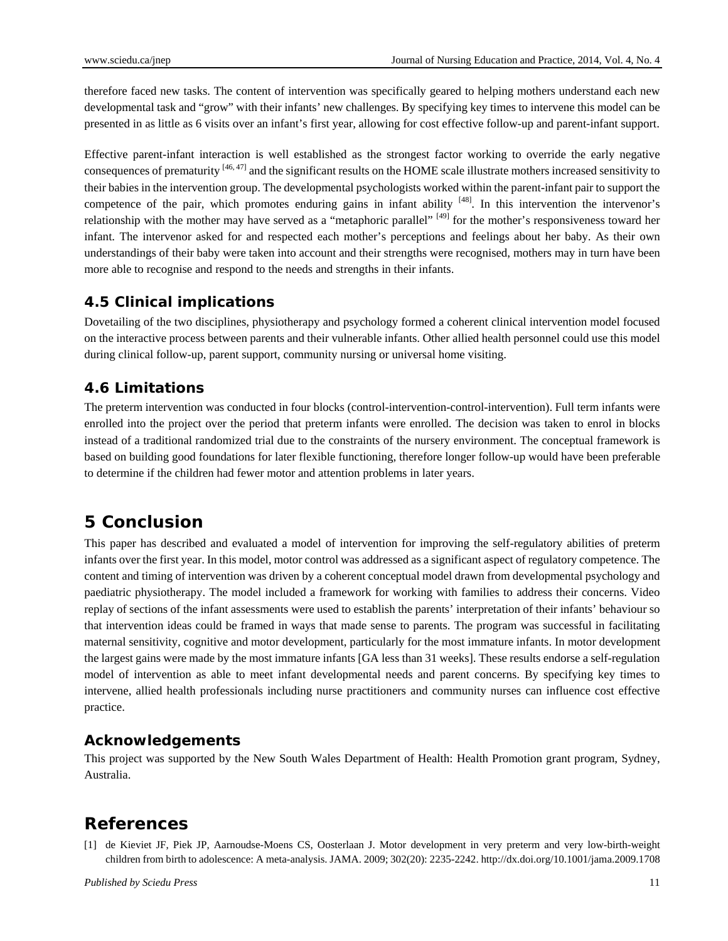therefore faced new tasks. The content of intervention was specifically geared to helping mothers understand each new developmental task and "grow" with their infants' new challenges. By specifying key times to intervene this model can be presented in as little as 6 visits over an infant's first year, allowing for cost effective follow-up and parent-infant support.

Effective parent-infant interaction is well established as the strongest factor working to override the early negative consequences of prematurity  $[46, 47]$  and the significant results on the HOME scale illustrate mothers increased sensitivity to their babies in the intervention group. The developmental psychologists worked within the parent-infant pair to support the competence of the pair, which promotes enduring gains in infant ability  $[48]$ . In this intervention the intervenor's relationship with the mother may have served as a "metaphoric parallel" [49] for the mother's responsiveness toward her infant. The intervenor asked for and respected each mother's perceptions and feelings about her baby. As their own understandings of their baby were taken into account and their strengths were recognised, mothers may in turn have been more able to recognise and respond to the needs and strengths in their infants.

### **4.5 Clinical implications**

Dovetailing of the two disciplines, physiotherapy and psychology formed a coherent clinical intervention model focused on the interactive process between parents and their vulnerable infants. Other allied health personnel could use this model during clinical follow-up, parent support, community nursing or universal home visiting.

### **4.6 Limitations**

The preterm intervention was conducted in four blocks (control-intervention-control-intervention). Full term infants were enrolled into the project over the period that preterm infants were enrolled. The decision was taken to enrol in blocks instead of a traditional randomized trial due to the constraints of the nursery environment. The conceptual framework is based on building good foundations for later flexible functioning, therefore longer follow-up would have been preferable to determine if the children had fewer motor and attention problems in later years.

## **5 Conclusion**

This paper has described and evaluated a model of intervention for improving the self-regulatory abilities of preterm infants over the first year. In this model, motor control was addressed as a significant aspect of regulatory competence. The content and timing of intervention was driven by a coherent conceptual model drawn from developmental psychology and paediatric physiotherapy. The model included a framework for working with families to address their concerns. Video replay of sections of the infant assessments were used to establish the parents' interpretation of their infants' behaviour so that intervention ideas could be framed in ways that made sense to parents. The program was successful in facilitating maternal sensitivity, cognitive and motor development, particularly for the most immature infants. In motor development the largest gains were made by the most immature infants [GA less than 31 weeks]. These results endorse a self-regulation model of intervention as able to meet infant developmental needs and parent concerns. By specifying key times to intervene, allied health professionals including nurse practitioners and community nurses can influence cost effective practice.

### **Acknowledgements**

This project was supported by the New South Wales Department of Health: Health Promotion grant program, Sydney, Australia.

## **References**

[1] de Kieviet JF, Piek JP, Aarnoudse-Moens CS, Oosterlaan J. Motor development in very preterm and very low-birth-weight children from birth to adolescence: A meta-analysis. JAMA. 2009; 302(20): 2235-2242. http://dx.doi.org/10.1001/jama.2009.1708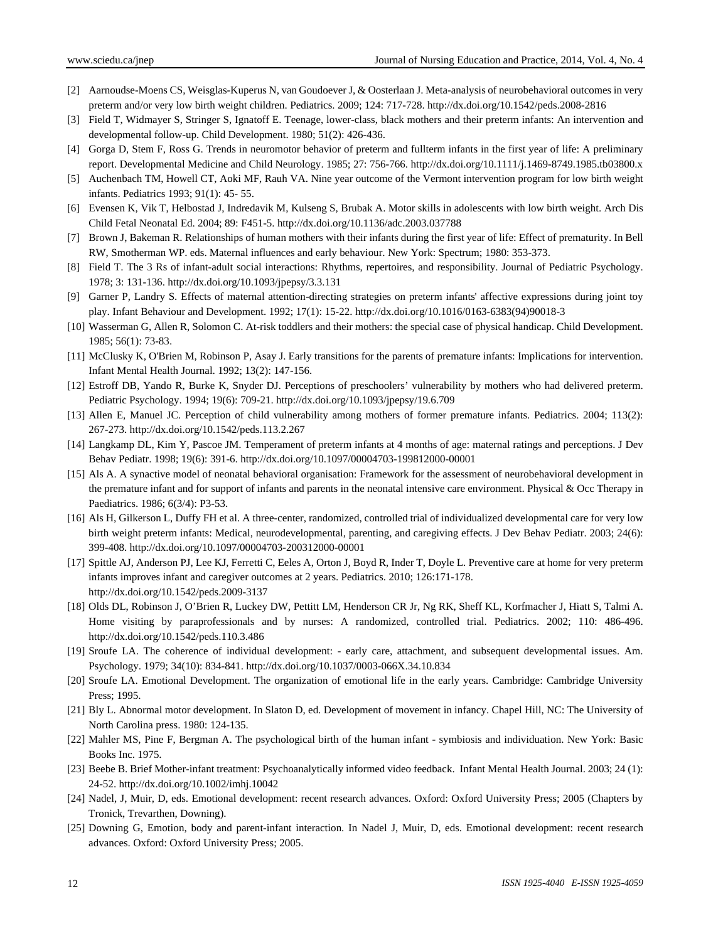- [2] Aarnoudse-Moens CS, Weisglas-Kuperus N, van Goudoever J, & Oosterlaan J. Meta-analysis of neurobehavioral outcomes in very preterm and/or very low birth weight children. Pediatrics. 2009; 124: 717-728. http://dx.doi.org/10.1542/peds.2008-2816
- [3] Field T, Widmayer S, Stringer S, Ignatoff E. Teenage, lower-class, black mothers and their preterm infants: An intervention and developmental follow-up. Child Development. 1980; 51(2): 426-436.
- [4] Gorga D, Stem F, Ross G. Trends in neuromotor behavior of preterm and fullterm infants in the first year of life: A preliminary report. Developmental Medicine and Child Neurology. 1985; 27: 756-766. http://dx.doi.org/10.1111/j.1469-8749.1985.tb03800.x
- [5] Auchenbach TM, Howell CT, Aoki MF, Rauh VA. Nine year outcome of the Vermont intervention program for low birth weight infants. Pediatrics 1993; 91(1): 45- 55.
- [6] Evensen K, Vik T, Helbostad J, Indredavik M, Kulseng S, Brubak A. Motor skills in adolescents with low birth weight. Arch Dis Child Fetal Neonatal Ed. 2004; 89: F451-5. http://dx.doi.org/10.1136/adc.2003.037788
- [7] Brown J, Bakeman R. Relationships of human mothers with their infants during the first year of life: Effect of prematurity. In Bell RW, Smotherman WP. eds. Maternal influences and early behaviour. New York: Spectrum; 1980: 353-373.
- [8] Field T. The 3 Rs of infant-adult social interactions: Rhythms, repertoires, and responsibility. Journal of Pediatric Psychology. 1978; 3: 131-136. http://dx.doi.org/10.1093/jpepsy/3.3.131
- [9] Garner P, Landry S. Effects of maternal attention-directing strategies on preterm infants' affective expressions during joint toy play. Infant Behaviour and Development. 1992; 17(1): 15-22. http://dx.doi.org/10.1016/0163-6383(94)90018-3
- [10] Wasserman G, Allen R, Solomon C. At-risk toddlers and their mothers: the special case of physical handicap. Child Development. 1985; 56(1): 73-83.
- [11] McClusky K, O'Brien M, Robinson P, Asay J. Early transitions for the parents of premature infants: Implications for intervention. Infant Mental Health Journal. 1992; 13(2): 147-156.
- [12] Estroff DB, Yando R, Burke K, Snyder DJ. Perceptions of preschoolers' vulnerability by mothers who had delivered preterm. Pediatric Psychology. 1994; 19(6): 709-21. http://dx.doi.org/10.1093/jpepsy/19.6.709
- [13] Allen E, Manuel JC. Perception of child vulnerability among mothers of former premature infants. Pediatrics. 2004; 113(2): 267-273. http://dx.doi.org/10.1542/peds.113.2.267
- [14] Langkamp DL, Kim Y, Pascoe JM. Temperament of preterm infants at 4 months of age: maternal ratings and perceptions. J Dev Behav Pediatr. 1998; 19(6): 391-6. http://dx.doi.org/10.1097/00004703-199812000-00001
- [15] Als A. A synactive model of neonatal behavioral organisation: Framework for the assessment of neurobehavioral development in the premature infant and for support of infants and parents in the neonatal intensive care environment. Physical & Occ Therapy in Paediatrics. 1986; 6(3/4): P3-53.
- [16] Als H, Gilkerson L, Duffy FH et al. A three-center, randomized, controlled trial of individualized developmental care for very low birth weight preterm infants: Medical, neurodevelopmental, parenting, and caregiving effects. J Dev Behav Pediatr. 2003; 24(6): 399-408. http://dx.doi.org/10.1097/00004703-200312000-00001
- [17] Spittle AJ, Anderson PJ, Lee KJ, Ferretti C, Eeles A, Orton J, Boyd R, Inder T, Doyle L. Preventive care at home for very preterm infants improves infant and caregiver outcomes at 2 years. Pediatrics. 2010; 126:171-178. http://dx.doi.org/10.1542/peds.2009-3137
- [18] Olds DL, Robinson J, O'Brien R, Luckey DW, Pettitt LM, Henderson CR Jr, Ng RK, Sheff KL, Korfmacher J, Hiatt S, Talmi A. Home visiting by paraprofessionals and by nurses: A randomized, controlled trial. Pediatrics. 2002; 110: 486-496. http://dx.doi.org/10.1542/peds.110.3.486
- [19] Sroufe LA. The coherence of individual development: early care, attachment, and subsequent developmental issues. Am. Psychology. 1979; 34(10): 834-841. http://dx.doi.org/10.1037/0003-066X.34.10.834
- [20] Sroufe LA. Emotional Development. The organization of emotional life in the early years. Cambridge: Cambridge University Press; 1995.
- [21] Bly L. Abnormal motor development. In Slaton D, ed. Development of movement in infancy. Chapel Hill, NC: The University of North Carolina press. 1980: 124-135.
- [22] Mahler MS, Pine F, Bergman A. The psychological birth of the human infant symbiosis and individuation. New York: Basic Books Inc. 1975.
- [23] Beebe B. Brief Mother-infant treatment: Psychoanalytically informed video feedback. Infant Mental Health Journal. 2003; 24 (1): 24-52. http://dx.doi.org/10.1002/imhj.10042
- [24] Nadel, J, Muir, D, eds. Emotional development: recent research advances. Oxford: Oxford University Press; 2005 (Chapters by Tronick, Trevarthen, Downing).
- [25] Downing G, Emotion, body and parent-infant interaction. In Nadel J, Muir, D, eds. Emotional development: recent research advances. Oxford: Oxford University Press; 2005.